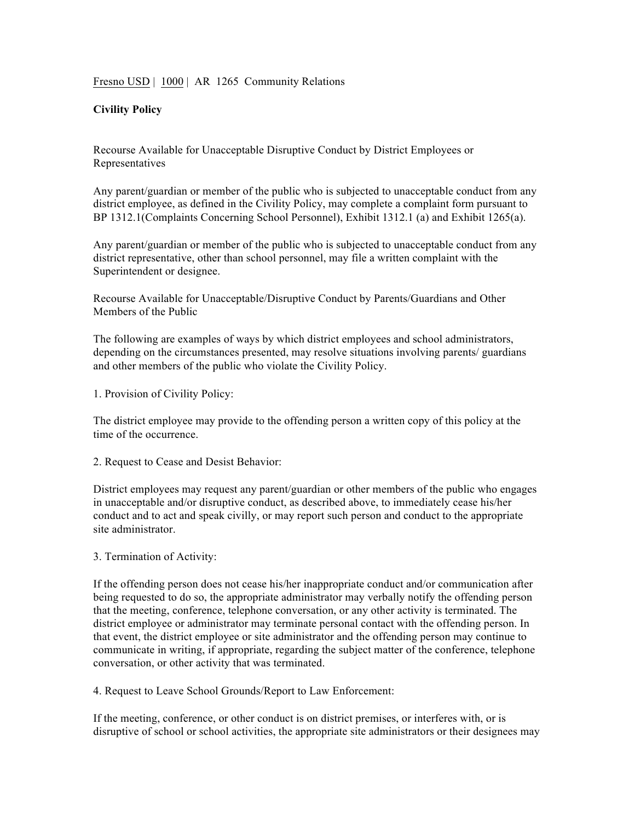## Fresno USD | 1000 | AR 1265 Community Relations

## **Civility Policy**

Recourse Available for Unacceptable Disruptive Conduct by District Employees or Representatives

Any parent/guardian or member of the public who is subjected to unacceptable conduct from any district employee, as defined in the Civility Policy, may complete a complaint form pursuant to BP 1312.1(Complaints Concerning School Personnel), Exhibit 1312.1 (a) and Exhibit 1265(a).

Any parent/guardian or member of the public who is subjected to unacceptable conduct from any district representative, other than school personnel, may file a written complaint with the Superintendent or designee.

Recourse Available for Unacceptable/Disruptive Conduct by Parents/Guardians and Other Members of the Public

The following are examples of ways by which district employees and school administrators, depending on the circumstances presented, may resolve situations involving parents/ guardians and other members of the public who violate the Civility Policy.

1. Provision of Civility Policy:

The district employee may provide to the offending person a written copy of this policy at the time of the occurrence.

2. Request to Cease and Desist Behavior:

District employees may request any parent/guardian or other members of the public who engages in unacceptable and/or disruptive conduct, as described above, to immediately cease his/her conduct and to act and speak civilly, or may report such person and conduct to the appropriate site administrator.

## 3. Termination of Activity:

If the offending person does not cease his/her inappropriate conduct and/or communication after being requested to do so, the appropriate administrator may verbally notify the offending person that the meeting, conference, telephone conversation, or any other activity is terminated. The district employee or administrator may terminate personal contact with the offending person. In that event, the district employee or site administrator and the offending person may continue to communicate in writing, if appropriate, regarding the subject matter of the conference, telephone conversation, or other activity that was terminated.

4. Request to Leave School Grounds/Report to Law Enforcement:

If the meeting, conference, or other conduct is on district premises, or interferes with, or is disruptive of school or school activities, the appropriate site administrators or their designees may